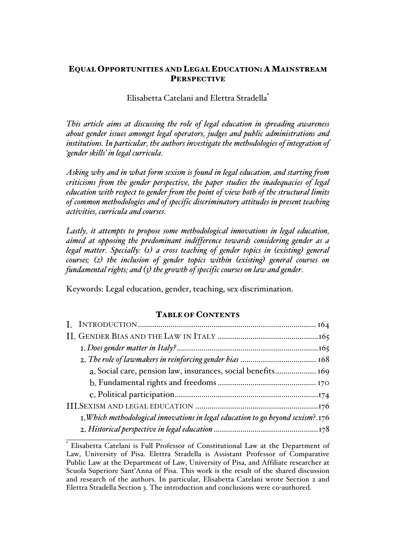# EQUAL OPPORTUNITIES AND LEGAL EDUCATION: AMAINSTREAM **PERSPECTIVE**

Elisabetta Catelani and Elettra Stradella\*

*This article aims at discussing the role of legal education in spreading awareness about gender issues amongst legal operators, judges and public administrations and institutions. In particular, the authors investigate the methodologies of integration of 'gender skills' in legal curricula.*

*Asking why and in what form sexism is found in legal education, and starting from criticisms from the gender perspective, the paper studies the inadequacies of legal education with respect to gender from the point of view both of the structural limits of common methodologies and of specific discriminatory attitudes in present teaching activities, curricula and courses.*

*Lastly, it attempts to propose some methodological innovations in legal education, aimed at opposing the predominant indifference towards considering gender as a legal matter. Specially: (1) a cross teaching of gender topics in (existing) general courses; (2) the inclusion of gender topics within (existing) general courses on fundamental rights; and (3) the growth of specific courses on law and gender.*

Keywords: Legal education, gender, teaching, sex discrimination.

# TABLE OF CONTENTS

| a. Social care, pension law, insurances, social benefits 169                     |  |
|----------------------------------------------------------------------------------|--|
|                                                                                  |  |
|                                                                                  |  |
|                                                                                  |  |
| 1. Which methodological innovations in legal education to go beyond sexism?. 176 |  |
|                                                                                  |  |

\* Elisabetta Catelani is Full Professor of Constitutional Law at the Department of Law, University of Pisa. Elettra Stradella is Assistant Professor of Comparative Public Law at the Department of Law, University of Pisa, and Affiliate researcher at Scuola Superiore Sant'Anna of Pisa. This work is the result of the shared discussion and research of the authors. In particular, Elisabetta Catelani wrote Section 2 and Elettra Stradella Section 3. The introduction and conclusions were co-authored.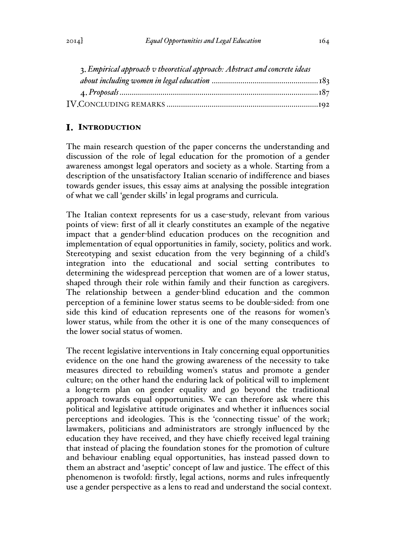| 3. Empirical approach v theoretical approach: Abstract and concrete ideas |  |
|---------------------------------------------------------------------------|--|
|                                                                           |  |
|                                                                           |  |
|                                                                           |  |

### I. INTRODUCTION

The main research question of the paper concerns the understanding and discussion of the role of legal education for the promotion of a gender awareness amongst legal operators and society as a whole. Starting from a description of the unsatisfactory Italian scenario of indifference and biases towards gender issues, this essay aims at analysing the possible integration of what we call 'gender skills' in legal programs and curricula.

The Italian context represents for us a case-study, relevant from various points of view: first of all it clearly constitutes an example of the negative impact that a gender-blind education produces on the recognition and implementation of equal opportunities in family, society, politics and work. Stereotyping and sexist education from the very beginning of a child's integration into the educational and social setting contributes to determining the widespread perception that women are of a lower status, shaped through their role within family and their function as caregivers. The relationship between a gender-blind education and the common perception of a feminine lower status seems to be double-sided: from one side this kind of education represents one of the reasons for women's lower status, while from the other it is one of the many consequences of the lower social status of women.

The recent legislative interventions in Italy concerning equal opportunities evidence on the one hand the growing awareness of the necessity to take measures directed to rebuilding women's status and promote a gender culture; on the other hand the enduring lack of political will to implement a long-term plan on gender equality and go beyond the traditional approach towards equal opportunities. We can therefore ask where this political and legislative attitude originates and whether it influences social perceptions and ideologies. This is the 'connecting tissue' of the work; lawmakers, politicians and administrators are strongly influenced by the education they have received, and they have chiefly received legal training that instead of placing the foundation stones for the promotion of culture and behaviour enabling equal opportunities, has instead passed down to them an abstract and 'aseptic' concept of law and justice. The effect of this phenomenon is twofold: firstly, legal actions, norms and rules infrequently use a gender perspective as a lens to read and understand the social context.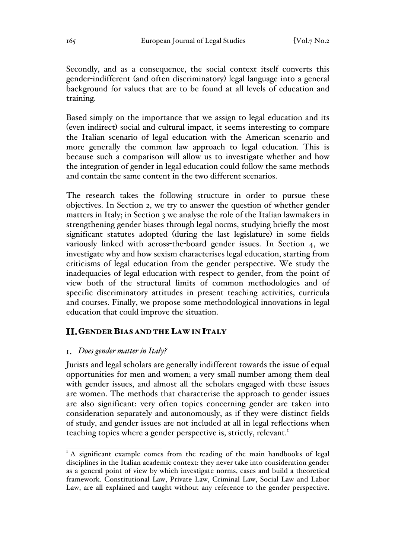Secondly, and as a consequence, the social context itself converts this gender-indifferent (and often discriminatory) legal language into a general background for values that are to be found at all levels of education and training.

Based simply on the importance that we assign to legal education and its (even indirect) social and cultural impact, it seems interesting to compare the Italian scenario of legal education with the American scenario and more generally the common law approach to legal education. This is because such a comparison will allow us to investigate whether and how the integration of gender in legal education could follow the same methods and contain the same content in the two different scenarios.

The research takes the following structure in order to pursue these objectives. In Section 2, we try to answer the question of whether gender matters in Italy; in Section 3 we analyse the role of the Italian lawmakers in strengthening gender biases through legal norms, studying briefly the most significant statutes adopted (during the last legislature) in some fields variously linked with across-the-board gender issues. In Section 4, we investigate why and how sexism characterises legal education, starting from criticisms of legal education from the gender perspective. We study the inadequacies of legal education with respect to gender, from the point of view both of the structural limits of common methodologies and of specific discriminatory attitudes in present teaching activities, curricula and courses. Finally, we propose some methodological innovations in legal education that could improve the situation.

### GENDER BIAS AND THE LAW IN ITALY

### *Does gender matter in Italy?*

Jurists and legal scholars are generally indifferent towards the issue of equal opportunities for men and women; a very small number among them deal with gender issues, and almost all the scholars engaged with these issues are women. The methods that characterise the approach to gender issues are also significant: very often topics concerning gender are taken into consideration separately and autonomously, as if they were distinct fields of study, and gender issues are not included at all in legal reflections when teaching topics where a gender perspective is, strictly, relevant.<sup>1</sup>

<sup>&</sup>lt;sup>1</sup> A significant example comes from the reading of the main handbooks of legal disciplines in the Italian academic context: they never take into consideration gender as a general point of view by which investigate norms, cases and build a theoretical framework. Constitutional Law, Private Law, Criminal Law, Social Law and Labor Law, are all explained and taught without any reference to the gender perspective.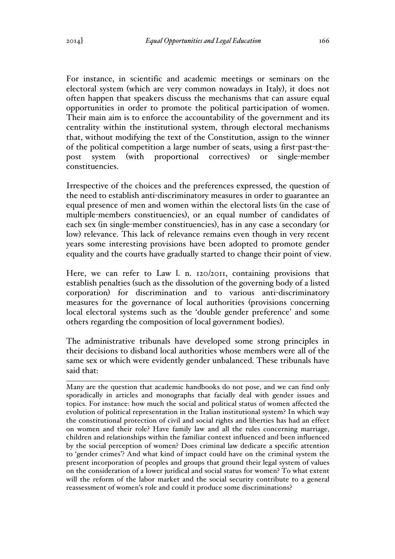For instance, in scientific and academic meetings or seminars on the electoral system (which are very common nowadays in Italy), it does not often happen that speakers discuss the mechanisms that can assure equal opportunities in order to promote the political participation of women. Their main aim is to enforce the accountability of the government and its centrality within the institutional system, through electoral mechanisms that, without modifying the text of the Constitution, assign to the winner of the political competition a large number of seats, using a first-past-thepost system (with proportional correctives) or single-member constituencies.

Irrespective of the choices and the preferences expressed, the question of the need to establish anti-discriminatory measures in order to guarantee an equal presence of men and women within the electoral lists (in the case of multiple-members constituencies), or an equal number of candidates of each sex (in single-member constituencies), has in any case a secondary (or low) relevance. This lack of relevance remains even though in very recent years some interesting provisions have been adopted to promote gender equality and the courts have gradually started to change their point of view.

Here, we can refer to Law l. n. 120/2011, containing provisions that establish penalties (such as the dissolution of the governing body of a listed corporation) for discrimination and to various anti-discriminatory measures for the governance of local authorities (provisions concerning local electoral systems such as the 'double gender preference' and some others regarding the composition of local government bodies).

The administrative tribunals have developed some strong principles in their decisions to disband local authorities whose members were all of the same sex or which were evidently gender unbalanced. These tribunals have said that:

 $\overline{a}$ Many are the question that academic handbooks do not pose, and we can find only sporadically in articles and monographs that facially deal with gender issues and topics. For instance: how much the social and political status of women affected the evolution of political representation in the Italian institutional system? In which way the constitutional protection of civil and social rights and liberties has had an effect on women and their role? Have family law and all the rules concerning marriage, children and relationships within the familiar context influenced and been influenced by the social perception of women? Does criminal law dedicate a specific attention to 'gender crimes'? And what kind of impact could have on the criminal system the present incorporation of peoples and groups that ground their legal system of values on the consideration of a lower juridical and social status for women? To what extent will the reform of the labor market and the social security contribute to a general reassessment of women's role and could it produce some discriminations?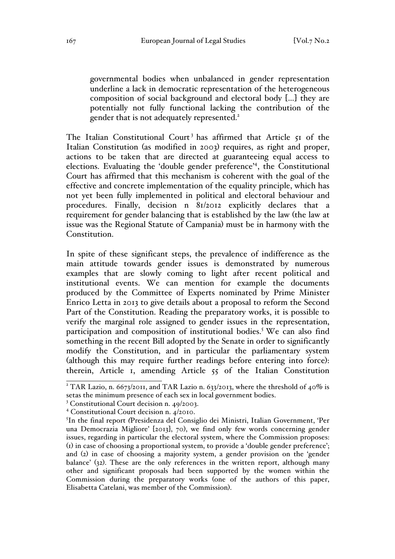governmental bodies when unbalanced in gender representation underline a lack in democratic representation of the heterogeneous composition of social background and electoral body […] they are potentially not fully functional lacking the contribution of the gender that is not adequately represented.<sup>2</sup>

The Italian Constitutional Court<sup>3</sup> has affirmed that Article 51 of the Italian Constitution (as modified in 2003) requires, as right and proper, actions to be taken that are directed at guaranteeing equal access to elections. Evaluating the 'double gender preference'<sup>4</sup> , the Constitutional Court has affirmed that this mechanism is coherent with the goal of the effective and concrete implementation of the equality principle, which has not yet been fully implemented in political and electoral behaviour and procedures. Finally, decision n 81/2012 explicitly declares that a requirement for gender balancing that is established by the law (the law at issue was the Regional Statute of Campania) must be in harmony with the Constitution.

In spite of these significant steps, the prevalence of indifference as the main attitude towards gender issues is demonstrated by numerous examples that are slowly coming to light after recent political and institutional events. We can mention for example the documents produced by the Committee of Experts nominated by Prime Minister Enrico Letta in 2013 to give details about a proposal to reform the Second Part of the Constitution. Reading the preparatory works, it is possible to verify the marginal role assigned to gender issues in the representation, participation and composition of institutional bodies.5 We can also find something in the recent Bill adopted by the Senate in order to significantly modify the Constitution, and in particular the parliamentary system (although this may require further readings before entering into force): therein, Article 1, amending Article 55 of the Italian Constitution

<sup>&</sup>lt;sup>2</sup> TAR Lazio, n. 6673/2011, and TAR Lazio n. 633/2013, where the threshold of 40% is setas the minimum presence of each sex in local government bodies.

<sup>&</sup>lt;sup>3</sup> Constitutional Court decision n. 49/2003.

<sup>4</sup> Constitutional Court decision n. 4/2010.

<sup>5</sup> In the final report *(*Presidenza del Consiglio dei Ministri, Italian Government, 'Per una Democrazia Migliore' [2013], 70), we find only few words concerning gender issues, regarding in particular the electoral system, where the Commission proposes: (1) in case of choosing a proportional system, to provide a 'double gender preference'; and (2) in case of choosing a majority system, a gender provision on the 'gender balance' (32). These are the only references in the written report, although many other and significant proposals had been supported by the women within the Commission during the preparatory works (one of the authors of this paper, Elisabetta Catelani, was member of the Commission).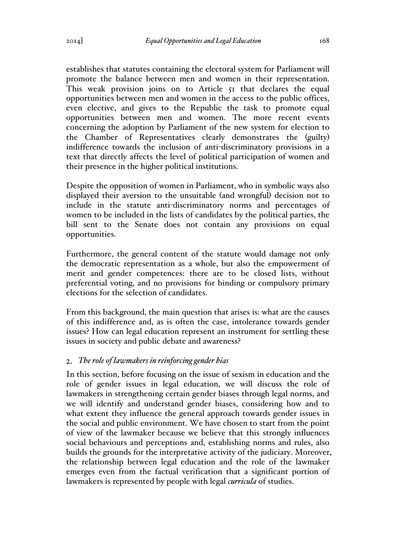establishes that statutes containing the electoral system for Parliament will promote the balance between men and women in their representation. This weak provision joins on to Article 51 that declares the equal opportunities between men and women in the access to the public offices, even elective, and gives to the Republic the task to promote equal opportunities between men and women. The more recent events concerning the adoption by Parliament of the new system for election to the Chamber of Representatives clearly demonstrates the (guilty) indifference towards the inclusion of anti-discriminatory provisions in a text that directly affects the level of political participation of women and their presence in the higher political institutions.

Despite the opposition of women in Parliament, who in symbolic ways also displayed their aversion to the unsuitable (and wrongful) decision not to include in the statute anti-discriminatory norms and percentages of women to be included in the lists of candidates by the political parties, the bill sent to the Senate does not contain any provisions on equal opportunities.

Furthermore, the general content of the statute would damage not only the democratic representation as a whole, but also the empowerment of merit and gender competences: there are to be closed lists, without preferential voting, and no provisions for binding or compulsory primary elections for the selection of candidates.

From this background, the main question that arises is: what are the causes of this indifference and, as is often the case, intolerance towards gender issues? How can legal education represent an instrument for settling these issues in society and public debate and awareness?

# *The role of lawmakers in reinforcing gender bias*

In this section, before focusing on the issue of sexism in education and the role of gender issues in legal education, we will discuss the role of lawmakers in strengthening certain gender biases through legal norms, and we will identify and understand gender biases, considering how and to what extent they influence the general approach towards gender issues in the social and public environment. We have chosen to start from the point of view of the lawmaker because we believe that this strongly influences social behaviours and perceptions and, establishing norms and rules, also builds the grounds for the interpretative activity of the judiciary. Moreover, the relationship between legal education and the role of the lawmaker emerges even from the factual verification that a significant portion of lawmakers is represented by people with legal *curricula* of studies.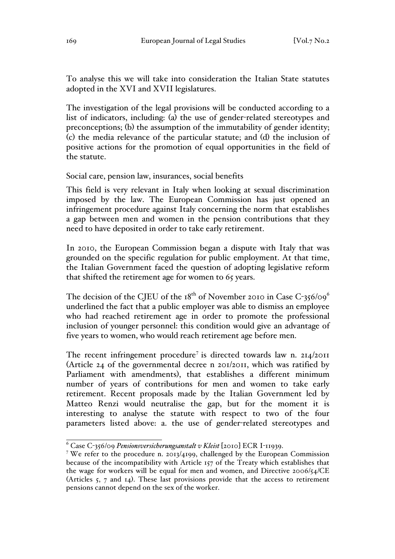To analyse this we will take into consideration the Italian State statutes adopted in the XVI and XVII legislatures.

The investigation of the legal provisions will be conducted according to a list of indicators, including: (a) the use of gender-related stereotypes and preconceptions; (b) the assumption of the immutability of gender identity; (c) the media relevance of the particular statute; and (d) the inclusion of positive actions for the promotion of equal opportunities in the field of the statute.

Social care, pension law, insurances, social benefits

This field is very relevant in Italy when looking at sexual discrimination imposed by the law. The European Commission has just opened an infringement procedure against Italy concerning the norm that establishes a gap between men and women in the pension contributions that they need to have deposited in order to take early retirement.

In 2010, the European Commission began a dispute with Italy that was grounded on the specific regulation for public employment. At that time, the Italian Government faced the question of adopting legislative reform that shifted the retirement age for women to 65 years.

The decision of the CJEU of the  $18^{th}$  of November 2010 in Case C-356/09<sup>6</sup> underlined the fact that a public employer was able to dismiss an employee who had reached retirement age in order to promote the professional inclusion of younger personnel: this condition would give an advantage of five years to women, who would reach retirement age before men.

The recent infringement procedure<sup>7</sup> is directed towards law n.  $2I4/2OII$ (Article 24 of the governmental decree n 201/2011, which was ratified by Parliament with amendments), that establishes a different minimum number of years of contributions for men and women to take early retirement. Recent proposals made by the Italian Government led by Matteo Renzi would neutralise the gap, but for the moment it is interesting to analyse the statute with respect to two of the four parameters listed above: a. the use of gender-related stereotypes and

<sup>6</sup> Case C-356/09 *Pensionsversicherungsanstalt v Kleist* [2010] ECR I-11939.

<sup>7</sup> We refer to the procedure n. 2013/4199, challenged by the European Commission because of the incompatibility with Article 157 of the Treaty which establishes that the wage for workers will be equal for men and women, and Directive  $2006/\frac{54}{C}$ (Articles 5, 7 and 14). These last provisions provide that the access to retirement pensions cannot depend on the sex of the worker.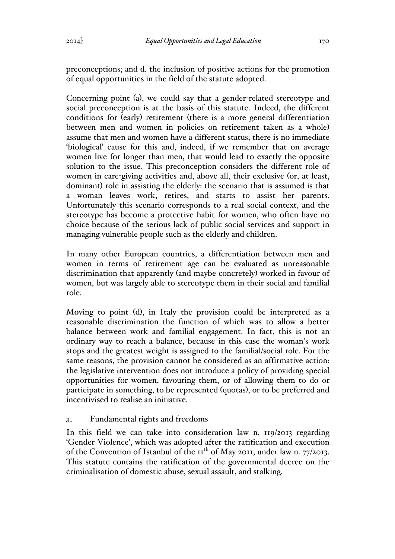preconceptions; and d. the inclusion of positive actions for the promotion of equal opportunities in the field of the statute adopted.

Concerning point (a), we could say that a gender-related stereotype and social preconception is at the basis of this statute. Indeed, the different conditions for (early) retirement (there is a more general differentiation between men and women in policies on retirement taken as a whole) assume that men and women have a different status; there is no immediate 'biological' cause for this and, indeed, if we remember that on average women live for longer than men, that would lead to exactly the opposite solution to the issue. This preconception considers the different role of women in care-giving activities and, above all, their exclusive (or, at least, dominant) role in assisting the elderly: the scenario that is assumed is that a woman leaves work, retires, and starts to assist her parents. Unfortunately this scenario corresponds to a real social context, and the stereotype has become a protective habit for women, who often have no choice because of the serious lack of public social services and support in managing vulnerable people such as the elderly and children.

In many other European countries, a differentiation between men and women in terms of retirement age can be evaluated as unreasonable discrimination that apparently (and maybe concretely) worked in favour of women, but was largely able to stereotype them in their social and familial role.

Moving to point (d), in Italy the provision could be interpreted as a reasonable discrimination the function of which was to allow a better balance between work and familial engagement. In fact, this is not an ordinary way to reach a balance, because in this case the woman's work stops and the greatest weight is assigned to the familial/social role. For the same reasons, the provision cannot be considered as an affirmative action: the legislative intervention does not introduce a policy of providing special opportunities for women, favouring them, or of allowing them to do or participate in something, to be represented (quotas), or to be preferred and incentivised to realise an initiative.

#### Fundamental rights and freedoms  $\overline{a}$ .

In this field we can take into consideration law n. 119/2013 regarding 'Gender Violence', which was adopted after the ratification and execution of the Convention of Istanbul of the  $11^{th}$  of May 2011, under law n. 77/2013. This statute contains the ratification of the governmental decree on the criminalisation of domestic abuse, sexual assault, and stalking.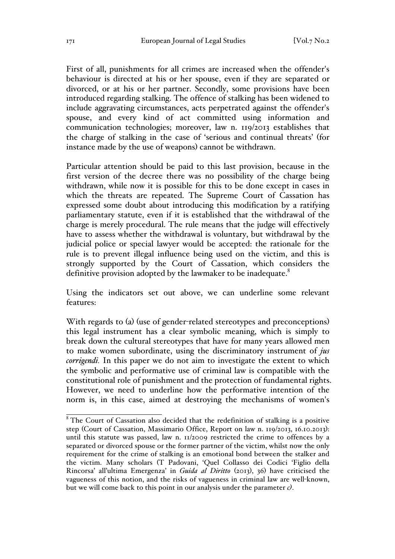First of all, punishments for all crimes are increased when the offender's behaviour is directed at his or her spouse, even if they are separated or divorced, or at his or her partner. Secondly, some provisions have been introduced regarding stalking. The offence of stalking has been widened to include aggravating circumstances, acts perpetrated against the offender's spouse, and every kind of act committed using information and communication technologies; moreover, law n. 119/2013 establishes that the charge of stalking in the case of 'serious and continual threats' (for instance made by the use of weapons) cannot be withdrawn.

Particular attention should be paid to this last provision, because in the first version of the decree there was no possibility of the charge being withdrawn, while now it is possible for this to be done except in cases in which the threats are repeated. The Supreme Court of Cassation has expressed some doubt about introducing this modification by a ratifying parliamentary statute, even if it is established that the withdrawal of the charge is merely procedural. The rule means that the judge will effectively have to assess whether the withdrawal is voluntary, but withdrawal by the judicial police or special lawyer would be accepted: the rationale for the rule is to prevent illegal influence being used on the victim, and this is strongly supported by the Court of Cassation, which considers the definitive provision adopted by the lawmaker to be inadequate.<sup>8</sup>

Using the indicators set out above, we can underline some relevant features:

With regards to (a) (use of gender-related stereotypes and preconceptions) this legal instrument has a clear symbolic meaning, which is simply to break down the cultural stereotypes that have for many years allowed men to make women subordinate, using the discriminatory instrument of *jus corrigendi*. In this paper we do not aim to investigate the extent to which the symbolic and performative use of criminal law is compatible with the constitutional role of punishment and the protection of fundamental rights. However, we need to underline how the performative intention of the norm is, in this case, aimed at destroying the mechanisms of women's

 $8$ <sup>8</sup> The Court of Cassation also decided that the redefinition of stalking is a positive step (Court of Cassation, Massimario Office, Report on law n. 119/2013, 16.10.2013): until this statute was passed, law n. 11/2009 restricted the crime to offences by a separated or divorced spouse or the former partner of the victim, whilst now the only requirement for the crime of stalking is an emotional bond between the stalker and the victim. Many scholars (T Padovani, 'Quel Collasso dei Codici 'Figlio della Rincorsa' all'ultima Emergenza' in *Guida al Diritto* (2013), 36) have criticised the vagueness of this notion, and the risks of vagueness in criminal law are well-known, but we will come back to this point in our analysis under the parameter *c)*.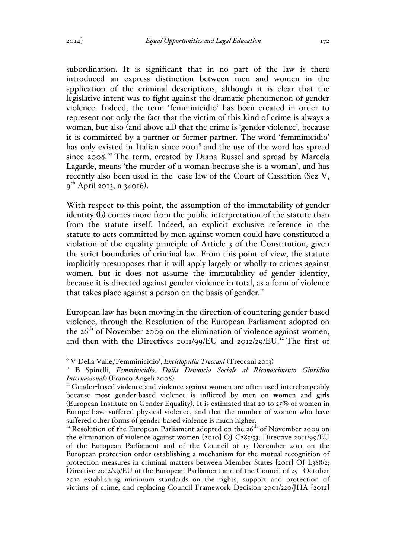subordination. It is significant that in no part of the law is there introduced an express distinction between men and women in the application of the criminal descriptions, although it is clear that the legislative intent was to fight against the dramatic phenomenon of gender violence. Indeed, the term 'femminicidio' has been created in order to represent not only the fact that the victim of this kind of crime is always a woman, but also (and above all) that the crime is 'gender violence', because it is committed by a partner or former partner. The word 'femminicidio' has only existed in Italian since 2001<sup>9</sup> and the use of the word has spread since 2008.<sup>10</sup> The term, created by Diana Russel and spread by Marcela Lagarde, means 'the murder of a woman because she is a woman', and has recently also been used in the case law of the Court of Cassation (Sez V,  $9^{th}$  April 2013, n 34016).

With respect to this point, the assumption of the immutability of gender identity (b) comes more from the public interpretation of the statute than from the statute itself. Indeed, an explicit exclusive reference in the statute to acts committed by men against women could have constituted a violation of the equality principle of Article 3 of the Constitution, given the strict boundaries of criminal law. From this point of view, the statute implicitly presupposes that it will apply largely or wholly to crimes against women, but it does not assume the immutability of gender identity, because it is directed against gender violence in total, as a form of violence that takes place against a person on the basis of gender. $<sup>II</sup>$ </sup>

European law has been moving in the direction of countering gender-based violence, through the Resolution of the European Parliament adopted on the  $26<sup>th</sup>$  of November 2009 on the elimination of violence against women, and then with the Directives  $2011/99/EU$  and  $2012/29/EU$ .<sup>12</sup> The first of

<sup>9</sup> V Della Valle,'Femminicidio', *Enciclopedia Treccani* (Treccani 2013) <sup>10</sup> B Spinelli, *Femminicidio. Dalla Denuncia Sociale al Riconoscimento Giuridico Internazionale* (Franco Angeli 2008)<br><sup>11</sup> Gender-based violence and violence against women are often used interchangeably

because most gender-based violence is inflicted by men on women and girls (European Institute on Gender Equality). It is estimated that 20 to 25% of women in Europe have suffered physical violence, and that the number of women who have

suffered other forms of gender-based violence is much higher.<br><sup>12</sup> Resolution of the European Parliament adopted on the  $26<sup>th</sup>$  of November 2009 on the elimination of violence against women [2010] OJ C285/53; Directive 2011/99/EU of the European Parliament and of the Council of 13 December 2011 on the European protection order establishing a mechanism for the mutual recognition of protection measures in criminal matters between Member States [2011] OJ L388/2; Directive 2012/29/EU of the European Parliament and of the Council of 25 October 2012 establishing minimum standards on the rights, support and protection of victims of crime, and replacing Council Framework Decision 2001/220/JHA [2012]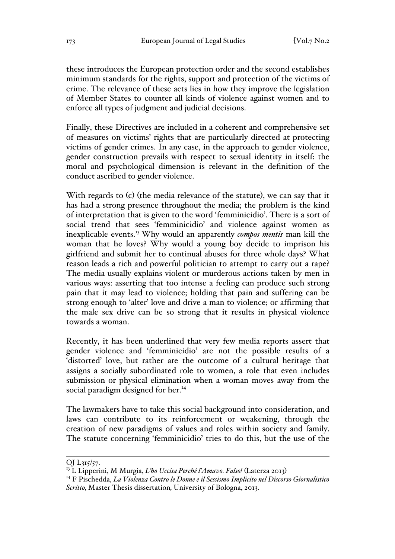these introduces the European protection order and the second establishes minimum standards for the rights, support and protection of the victims of crime. The relevance of these acts lies in how they improve the legislation of Member States to counter all kinds of violence against women and to enforce all types of judgment and judicial decisions.

Finally, these Directives are included in a coherent and comprehensive set of measures on victims' rights that are particularly directed at protecting victims of gender crimes. In any case, in the approach to gender violence, gender construction prevails with respect to sexual identity in itself: the moral and psychological dimension is relevant in the definition of the conduct ascribed to gender violence.

With regards to (c) (the media relevance of the statute), we can say that it has had a strong presence throughout the media; the problem is the kind of interpretation that is given to the word 'femminicidio'. There is a sort of social trend that sees 'femminicidio' and violence against women as inexplicable events.13 Why would an apparently *compos mentis* man kill the woman that he loves? Why would a young boy decide to imprison his girlfriend and submit her to continual abuses for three whole days? What reason leads a rich and powerful politician to attempt to carry out a rape? The media usually explains violent or murderous actions taken by men in various ways: asserting that too intense a feeling can produce such strong pain that it may lead to violence; holding that pain and suffering can be strong enough to 'alter' love and drive a man to violence; or affirming that the male sex drive can be so strong that it results in physical violence towards a woman.

Recently, it has been underlined that very few media reports assert that gender violence and 'femminicidio' are not the possible results of a 'distorted' love, but rather are the outcome of a cultural heritage that assigns a socially subordinated role to women, a role that even includes submission or physical elimination when a woman moves away from the social paradigm designed for her.<sup>14</sup>

The lawmakers have to take this social background into consideration, and laws can contribute to its reinforcement or weakening, through the creation of new paradigms of values and roles within society and family. The statute concerning 'femminicidio' tries to do this, but the use of the

 $\overline{a}$ 

OJ L315/57.

<sup>13</sup> L Lipperini, M Murgia, *L'ho Uccisa Perché l'Amavo. Falso!* (Laterza 2013)

<sup>14</sup> F Pischedda, *La Violenza Contro le Donne e il Sessismo Implicito nel Discorso Giornalistico Scritto,* Master Thesis dissertation*,* University of Bologna, 2013.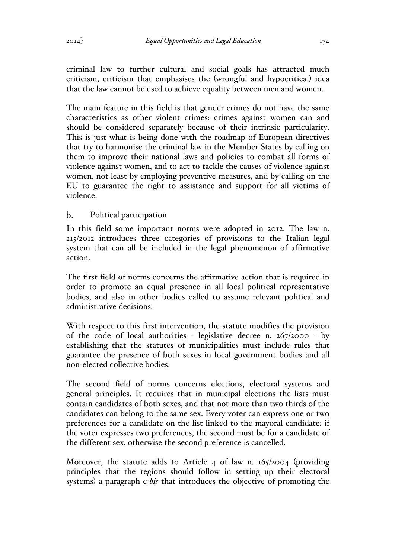criminal law to further cultural and social goals has attracted much criticism, criticism that emphasises the (wrongful and hypocritical) idea that the law cannot be used to achieve equality between men and women.

The main feature in this field is that gender crimes do not have the same characteristics as other violent crimes: crimes against women can and should be considered separately because of their intrinsic particularity. This is just what is being done with the roadmap of European directives that try to harmonise the criminal law in the Member States by calling on them to improve their national laws and policies to combat all forms of violence against women, and to act to tackle the causes of violence against women, not least by employing preventive measures, and by calling on the EU to guarantee the right to assistance and support for all victims of violence.

#### $\mathbf{b}$ . Political participation

In this field some important norms were adopted in 2012. The law n. 215/2012 introduces three categories of provisions to the Italian legal system that can all be included in the legal phenomenon of affirmative action.

The first field of norms concerns the affirmative action that is required in order to promote an equal presence in all local political representative bodies, and also in other bodies called to assume relevant political and administrative decisions.

With respect to this first intervention, the statute modifies the provision of the code of local authorities - legislative decree n. 267/2000 - by establishing that the statutes of municipalities must include rules that guarantee the presence of both sexes in local government bodies and all non-elected collective bodies.

The second field of norms concerns elections, electoral systems and general principles. It requires that in municipal elections the lists must contain candidates of both sexes, and that not more than two thirds of the candidates can belong to the same sex. Every voter can express one or two preferences for a candidate on the list linked to the mayoral candidate: if the voter expresses two preferences, the second must be for a candidate of the different sex, otherwise the second preference is cancelled.

Moreover, the statute adds to Article 4 of law n. 165/2004 (providing principles that the regions should follow in setting up their electoral systems) a paragraph c-*bis* that introduces the objective of promoting the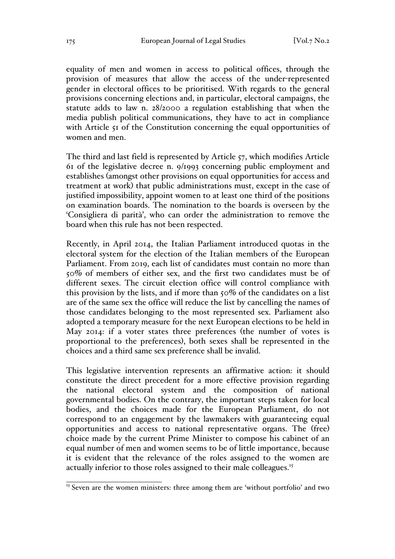equality of men and women in access to political offices, through the provision of measures that allow the access of the under-represented gender in electoral offices to be prioritised. With regards to the general provisions concerning elections and, in particular, electoral campaigns, the statute adds to law n. 28/2000 a regulation establishing that when the media publish political communications, they have to act in compliance with Article 51 of the Constitution concerning the equal opportunities of women and men.

The third and last field is represented by Article 57, which modifies Article 61 of the legislative decree n. 9/1993 concerning public employment and establishes (amongst other provisions on equal opportunities for access and treatment at work) that public administrations must, except in the case of justified impossibility, appoint women to at least one third of the positions on examination boards. The nomination to the boards is overseen by the 'Consigliera di parità', who can order the administration to remove the board when this rule has not been respected.

Recently, in April 2014, the Italian Parliament introduced quotas in the electoral system for the election of the Italian members of the European Parliament. From 2019, each list of candidates must contain no more than 50% of members of either sex, and the first two candidates must be of different sexes. The circuit election office will control compliance with this provision by the lists, and if more than 50% of the candidates on a list are of the same sex the office will reduce the list by cancelling the names of those candidates belonging to the most represented sex. Parliament also adopted a temporary measure for the next European elections to be held in May 2014: if a voter states three preferences (the number of votes is proportional to the preferences), both sexes shall be represented in the choices and a third same sex preference shall be invalid.

This legislative intervention represents an affirmative action: it should constitute the direct precedent for a more effective provision regarding the national electoral system and the composition of national governmental bodies. On the contrary, the important steps taken for local bodies, and the choices made for the European Parliament, do not correspond to an engagement by the lawmakers with guaranteeing equal opportunities and access to national representative organs. The (free) choice made by the current Prime Minister to compose his cabinet of an equal number of men and women seems to be of little importance, because it is evident that the relevance of the roles assigned to the women are actually inferior to those roles assigned to their male colleagues.<sup>15</sup>

<sup>&</sup>lt;sup>15</sup> Seven are the women ministers: three among them are 'without portfolio' and two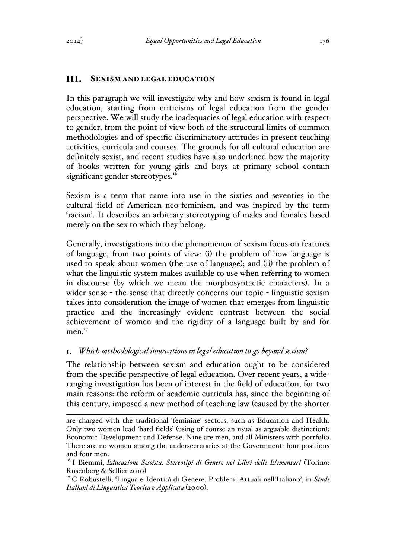#### III. SEXISM AND LEGAL EDUCATION

In this paragraph we will investigate why and how sexism is found in legal education, starting from criticisms of legal education from the gender perspective. We will study the inadequacies of legal education with respect to gender, from the point of view both of the structural limits of common methodologies and of specific discriminatory attitudes in present teaching activities, curricula and courses. The grounds for all cultural education are definitely sexist, and recent studies have also underlined how the majority of books written for young girls and boys at primary school contain significant gender stereotypes.<sup>16</sup>

Sexism is a term that came into use in the sixties and seventies in the cultural field of American neo-feminism, and was inspired by the term 'racism'. It describes an arbitrary stereotyping of males and females based merely on the sex to which they belong.

Generally, investigations into the phenomenon of sexism focus on features of language, from two points of view: (i) the problem of how language is used to speak about women (the use of language); and (ii) the problem of what the linguistic system makes available to use when referring to women in discourse (by which we mean the morphosyntactic characters). In a wider sense - the sense that directly concerns our topic - linguistic sexism takes into consideration the image of women that emerges from linguistic practice and the increasingly evident contrast between the social achievement of women and the rigidity of a language built by and for men $17$ 

#### *Which methodological innovations in legal education to go beyond sexism?* I.

The relationship between sexism and education ought to be considered from the specific perspective of legal education. Over recent years, a wideranging investigation has been of interest in the field of education, for two main reasons: the reform of academic curricula has, since the beginning of this century, imposed a new method of teaching law (caused by the shorter

 $\overline{a}$ are charged with the traditional 'feminine' sectors, such as Education and Health. Only two women lead 'hard fields' (using of course an usual as arguable distinction): Economic Development and Defense. Nine are men, and all Ministers with portfolio. There are no women among the undersecretaries at the Government: four positions and four men.

<sup>&</sup>lt;sup>16</sup> I Biemmi, *Educazione Sessista. Stereotipi di Genere nei Libri delle Elementari* (Torino: Rosenberg & Sellier 2010)

<sup>17</sup> C Robustelli, 'Lingua e Identità di Genere. Problemi Attuali nell'Italiano', in *Studi Italiani di Linguistica Teorica e Applicata* (2000).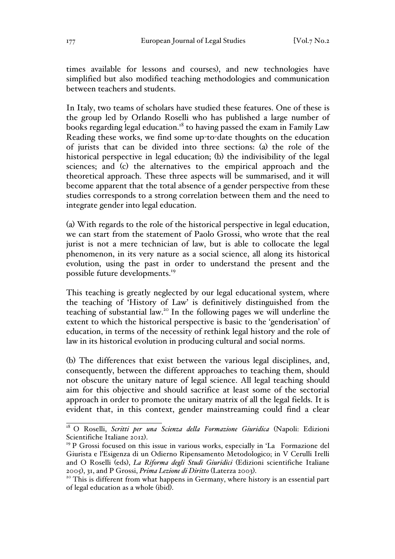times available for lessons and courses), and new technologies have simplified but also modified teaching methodologies and communication between teachers and students.

In Italy, two teams of scholars have studied these features. One of these is the group led by Orlando Roselli who has published a large number of books regarding legal education.<sup>18</sup> to having passed the exam in Family Law Reading these works, we find some up-to-date thoughts on the education of jurists that can be divided into three sections: (a) the role of the historical perspective in legal education; (b) the indivisibility of the legal sciences; and (c) the alternatives to the empirical approach and the theoretical approach. These three aspects will be summarised, and it will become apparent that the total absence of a gender perspective from these studies corresponds to a strong correlation between them and the need to integrate gender into legal education.

(a) With regards to the role of the historical perspective in legal education, we can start from the statement of Paolo Grossi, who wrote that the real jurist is not a mere technician of law, but is able to collocate the legal phenomenon, in its very nature as a social science, all along its historical evolution, using the past in order to understand the present and the possible future developments.<sup>19</sup>

This teaching is greatly neglected by our legal educational system, where the teaching of 'History of Law' is definitively distinguished from the teaching of substantial law.<sup>20</sup> In the following pages we will underline the extent to which the historical perspective is basic to the 'genderisation' of education, in terms of the necessity of rethink legal history and the role of law in its historical evolution in producing cultural and social norms.

(b) The differences that exist between the various legal disciplines, and, consequently, between the different approaches to teaching them, should not obscure the unitary nature of legal science. All legal teaching should aim for this objective and should sacrifice at least some of the sectorial approach in order to promote the unitary matrix of all the legal fields. It is evident that, in this context, gender mainstreaming could find a clear

<sup>18</sup> O Roselli, *Scritti per una Scienza della Formazione Giuridica* (Napoli: Edizioni Scientifiche Italiane 2012).<br><sup>19</sup> P Grossi focused on this issue in various works, especially in 'La Formazione del

Giurista e l'Esigenza di un Odierno Ripensamento Metodologico; in V Cerulli Irelli and O Roselli (eds), *La Riforma degli Studi Giuridici* (Edizioni scientifiche Italiane <sup>2005</sup>), 31, and P Grossi, *Prima Lezione di Diritto* (Laterza 2003). <sup>20</sup> This is different from what happens in Germany, where history is an essential part

of legal education as a whole (ibid).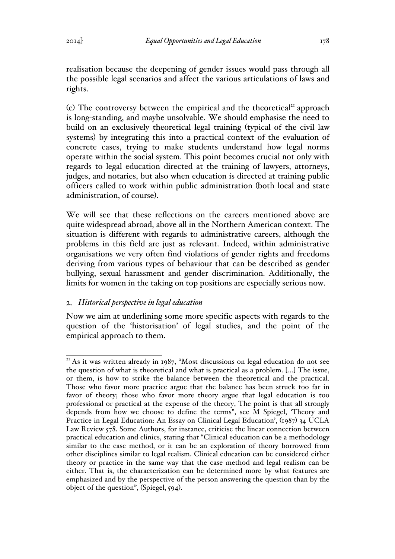realisation because the deepening of gender issues would pass through all the possible legal scenarios and affect the various articulations of laws and rights.

(c) The controversy between the empirical and the theoretical $21$  approach is long-standing, and maybe unsolvable. We should emphasise the need to build on an exclusively theoretical legal training (typical of the civil law systems) by integrating this into a practical context of the evaluation of concrete cases, trying to make students understand how legal norms operate within the social system. This point becomes crucial not only with regards to legal education directed at the training of lawyers, attorneys, judges, and notaries, but also when education is directed at training public officers called to work within public administration (both local and state administration, of course).

We will see that these reflections on the careers mentioned above are quite widespread abroad, above all in the Northern American context. The situation is different with regards to administrative careers, although the problems in this field are just as relevant. Indeed, within administrative organisations we very often find violations of gender rights and freedoms deriving from various types of behaviour that can be described as gender bullying, sexual harassment and gender discrimination. Additionally, the limits for women in the taking on top positions are especially serious now.

# *Historical perspective in legal education*

Now we aim at underlining some more specific aspects with regards to the question of the 'historisation' of legal studies, and the point of the empirical approach to them.

<sup>&</sup>lt;sup>21</sup> As it was written already in 1987, "Most discussions on legal education do not see the question of what is theoretical and what is practical as a problem. […] The issue, or them, is how to strike the balance between the theoretical and the practical. Those who favor more practice argue that the balance has been struck too far in favor of theory; those who favor more theory argue that legal education is too professional or practical at the expense of the theory, The point is that all strongly depends from how we choose to define the terms", see M Spiegel, 'Theory and Practice in Legal Education: An Essay on Clinical Legal Education', (1987) 34 UCLA Law Review 578. Some Authors, for instance, criticise the linear connection between practical education and clinics, stating that "Clinical education can be a methodology similar to the case method, or it can be an exploration of theory borrowed from other disciplines similar to legal realism. Clinical education can be considered either theory or practice in the same way that the case method and legal realism can be either. That is, the characterization can be determined more by what features are emphasized and by the perspective of the person answering the question than by the object of the question", (Spiegel, 594).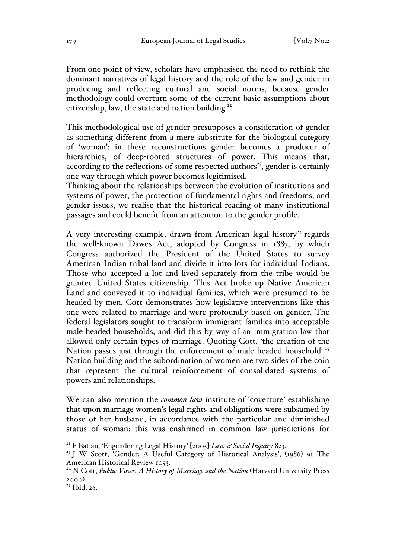From one point of view, scholars have emphasised the need to rethink the dominant narratives of legal history and the role of the law and gender in producing and reflecting cultural and social norms, because gender methodology could overturn some of the current basic assumptions about citizenship, law, the state and nation building. $22$ 

This methodological use of gender presupposes a consideration of gender as something different from a mere substitute for the biological category of 'woman': in these reconstructions gender becomes a producer of hierarchies, of deep-rooted structures of power. This means that, according to the reflections of some respected authors<sup>23</sup>, gender is certainly one way through which power becomes legitimised.

Thinking about the relationships between the evolution of institutions and systems of power, the protection of fundamental rights and freedoms, and gender issues, we realise that the historical reading of many institutional passages and could benefit from an attention to the gender profile.

A very interesting example, drawn from American legal history<sup>24</sup> regards the well-known Dawes Act, adopted by Congress in 1887, by which Congress authorized the President of the United States to survey American Indian tribal land and divide it into lots for individual Indians. Those who accepted a lot and lived separately from the tribe would be granted United States citizenship. This Act broke up Native American Land and conveyed it to individual families, which were presumed to be headed by men. Cott demonstrates how legislative interventions like this one were related to marriage and were profoundly based on gender. The federal legislators sought to transform immigrant families into acceptable male-headed households, and did this by way of an immigration law that allowed only certain types of marriage. Quoting Cott, 'the creation of the Nation passes just through the enforcement of male headed household'.<sup>25</sup> Nation building and the subordination of women are two sides of the coin that represent the cultural reinforcement of consolidated systems of powers and relationships.

We can also mention the *common law* institute of 'coverture' establishing that upon marriage women's legal rights and obligations were subsumed by those of her husband, in accordance with the particular and diminished status of woman: this was enshrined in common law jurisdictions for

<sup>&</sup>lt;sup>22</sup> F Batlan, 'Engendering Legal History' [2005] *Law & Social Inquiry* 823.

<sup>&</sup>lt;sup>23</sup> J W Scott, 'Gender: A Useful Category of Historical Analysis', (1986) 91 The American Historical Review 1053.

<sup>&</sup>lt;sup>24</sup> N Cott, *Public Vows: A History of Marriage and the Nation* (Harvard University Press 2000).<br> $25$  Ibid, 28.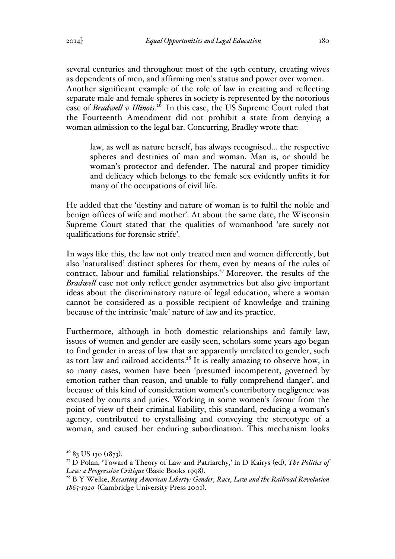several centuries and throughout most of the 19th century, creating wives as dependents of men, and affirming men's status and power over women. Another significant example of the role of law in creating and reflecting separate male and female spheres in society is represented by the notorious case of *Bradwell v Illinois.*26 In this case, the US Supreme Court ruled that the Fourteenth Amendment did not prohibit a state from denying a woman admission to the legal bar. Concurring, Bradley wrote that:

law, as well as nature herself, has always recognised... the respective spheres and destinies of man and woman. Man is, or should be woman's protector and defender. The natural and proper timidity and delicacy which belongs to the female sex evidently unfits it for many of the occupations of civil life.

He added that the 'destiny and nature of woman is to fulfil the noble and benign offices of wife and mother'. At about the same date, the Wisconsin Supreme Court stated that the qualities of womanhood 'are surely not qualifications for forensic strife'.

In ways like this, the law not only treated men and women differently, but also 'naturalised' distinct spheres for them, even by means of the rules of contract, labour and familial relationships.<sup>27</sup> Moreover, the results of the *Bradwell* case not only reflect gender asymmetries but also give important ideas about the discriminatory nature of legal education, where a woman cannot be considered as a possible recipient of knowledge and training because of the intrinsic 'male' nature of law and its practice.

Furthermore, although in both domestic relationships and family law, issues of women and gender are easily seen, scholars some years ago began to find gender in areas of law that are apparently unrelated to gender, such as tort law and railroad accidents.<sup>28</sup> It is really amazing to observe how, in so many cases, women have been 'presumed incompetent, governed by emotion rather than reason, and unable to fully comprehend danger', and because of this kind of consideration women's contributory negligence was excused by courts and juries. Working in some women's favour from the point of view of their criminal liability, this standard, reducing a woman's agency, contributed to crystallising and conveying the stereotype of a woman, and caused her enduring subordination. This mechanism looks

<sup>&</sup>lt;sup>26</sup> 83 US 130 (1873).<br><sup>27</sup> D Polan, 'Toward a Theory of Law and Patriarchy,' in D Kairys (ed), *The Politics of* 

*Law: a Progressive Critique* (Basic Books 1998). <sup>28</sup> B Y Welke, *Recasting American Liberty: Gender, Race, Law and the Railroad Revolution 1865-1920* (Cambridge University Press 2001).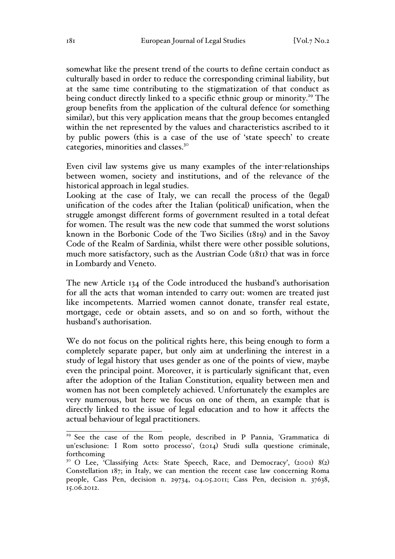somewhat like the present trend of the courts to define certain conduct as culturally based in order to reduce the corresponding criminal liability, but at the same time contributing to the stigmatization of that conduct as being conduct directly linked to a specific ethnic group or minority.<sup>29</sup> The group benefits from the application of the cultural defence (or something similar), but this very application means that the group becomes entangled within the net represented by the values and characteristics ascribed to it by public powers (this is a case of the use of 'state speech' to create categories, minorities and classes.30

Even civil law systems give us many examples of the inter-relationships between women, society and institutions, and of the relevance of the historical approach in legal studies.

Looking at the case of Italy, we can recall the process of the (legal) unification of the codes after the Italian (political) unification, when the struggle amongst different forms of government resulted in a total defeat for women. The result was the new code that summed the worst solutions known in the Borbonic Code of the Two Sicilies (1819) and in the Savoy Code of the Realm of Sardinia, whilst there were other possible solutions, much more satisfactory, such as the Austrian Code (1811) that was in force in Lombardy and Veneto.

The new Article 134 of the Code introduced the husband's authorisation for all the acts that woman intended to carry out: women are treated just like incompetents. Married women cannot donate, transfer real estate, mortgage, cede or obtain assets, and so on and so forth, without the husband's authorisation.

We do not focus on the political rights here, this being enough to form a completely separate paper, but only aim at underlining the interest in a study of legal history that uses gender as one of the points of view, maybe even the principal point. Moreover, it is particularly significant that, even after the adoption of the Italian Constitution, equality between men and women has not been completely achieved. Unfortunately the examples are very numerous, but here we focus on one of them, an example that is directly linked to the issue of legal education and to how it affects the actual behaviour of legal practitioners.

<sup>&</sup>lt;sup>29</sup> See the case of the Rom people, described in P Pannia, 'Grammatica di un'esclusione: I Rom sotto processo', (2014) Studi sulla questione criminale, forthcoming

<sup>&</sup>lt;sup>30</sup> O Lee, 'Classifying Acts: State Speech, Race, and Democracy', (2001) 8(2) Constellation 187; in Italy, we can mention the recent case law concerning Roma people, Cass Pen, decision n. 29734, 04.05.2011; Cass Pen, decision n. 37638, 15.06.2012.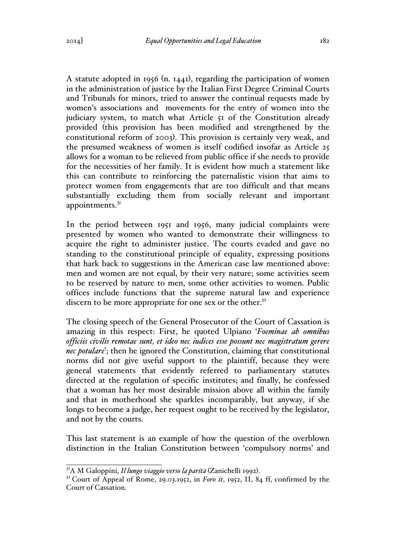A statute adopted in 1956 (n. 1441), regarding the participation of women in the administration of justice by the Italian First Degree Criminal Courts and Tribunals for minors, tried to answer the continual requests made by women's associations and movements for the entry of women into the judiciary system, to match what Article 51 of the Constitution already provided (this provision has been modified and strengthened by the constitutional reform of 2003). This provision is certainly very weak, and the presumed weakness of women is itself codified insofar as Article 25 allows for a woman to be relieved from public office if she needs to provide for the necessities of her family. It is evident how much a statement like this can contribute to reinforcing the paternalistic vision that aims to protect women from engagements that are too difficult and that means substantially excluding them from socially relevant and important appointments.<sup>31</sup>

In the period between 1951 and 1956, many judicial complaints were presented by women who wanted to demonstrate their willingness to acquire the right to administer justice. The courts evaded and gave no standing to the constitutional principle of equality, expressing positions that hark back to suggestions in the American case law mentioned above: men and women are not equal, by their very nature; some activities seem to be reserved by nature to men, some other activities to women. Public offices include functions that the supreme natural law and experience discern to be more appropriate for one sex or the other. $32$ 

The closing speech of the General Prosecutor of the Court of Cassation is amazing in this respect: First, he quoted Ulpiano '*Foeminae ab omnibus officiis civilis remotae sunt, et ideo nec iudices esse possunt nec magistratum gerere nec potulare*'; then he ignored the Constitution, claiming that constitutional norms did not give useful support to the plaintiff, because they were general statements that evidently referred to parliamentary statutes directed at the regulation of specific institutes; and finally, he confessed that a woman has her most desirable mission above all within the family and that in motherhood she sparkles incomparably, but anyway, if she longs to become a judge, her request ought to be received by the legislator, and not by the courts.

This last statement is an example of how the question of the overblown distinction in the Italian Constitution between 'compulsory norms' and

<sup>&</sup>lt;sup>31</sup>A M Galoppini, *Il lungo viaggio verso la parità* (Zanichelli 1992).<br><sup>32</sup> Court of Appeal of Rome, 29.03.1952, in *Foro it*, 1952, II, 84 ff, confirmed by the Court of Cassation.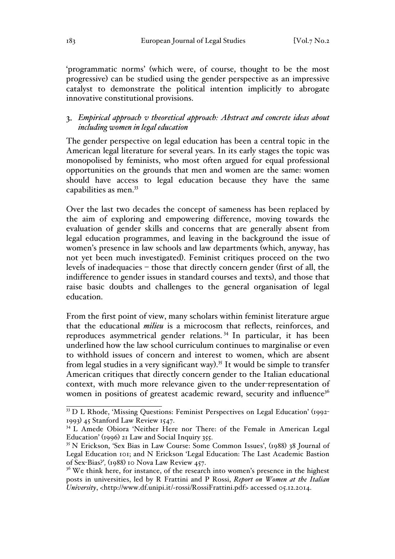'programmatic norms' (which were, of course, thought to be the most progressive) can be studied using the gender perspective as an impressive catalyst to demonstrate the political intention implicitly to abrogate innovative constitutional provisions.

### *Empirical approach v theoretical approach: Abstract and concrete ideas about including women in legal education*

The gender perspective on legal education has been a central topic in the American legal literature for several years. In its early stages the topic was monopolised by feminists, who most often argued for equal professional opportunities on the grounds that men and women are the same: women should have access to legal education because they have the same capabilities as men.<sup>33</sup>

Over the last two decades the concept of sameness has been replaced by the aim of exploring and empowering difference, moving towards the evaluation of gender skills and concerns that are generally absent from legal education programmes, and leaving in the background the issue of women's presence in law schools and law departments (which, anyway, has not yet been much investigated). Feminist critiques proceed on the two levels of inadequacies – those that directly concern gender (first of all, the indifference to gender issues in standard courses and texts), and those that raise basic doubts and challenges to the general organisation of legal education.

From the first point of view, many scholars within feminist literature argue that the educational *milieu* is a microcosm that reflects, reinforces, and reproduces asymmetrical gender relations. <sup>34</sup> In particular, it has been underlined how the law school curriculum continues to marginalise or even to withhold issues of concern and interest to women, which are absent from legal studies in a very significant way). <sup>35</sup> It would be simple to transfer American critiques that directly concern gender to the Italian educational context, with much more relevance given to the under-representation of women in positions of greatest academic reward, security and influence<sup>36</sup>

<sup>&</sup>lt;sup>33</sup> D L Rhode, 'Missing Questions: Feminist Perspectives on Legal Education' (1992-1993) 45 Stanford Law Review 1547.

<sup>&</sup>lt;sup>34</sup> L Amede Obiora 'Neither Here nor There: of the Female in American Legal Education' (1996) 21 Law and Social Inquiry 355.

<sup>35</sup> N Erickson, 'Sex Bias in Law Course: Some Common Issues', (1988) 38 Journal of Legal Education 101; and N Erickson 'Legal Education: The Last Academic Bastion of Sex-Bias?'*,* (1988) 10 Nova Law Review 457.

 $36$  We think here, for instance, of the research into women's presence in the highest posts in universities, led by R Frattini and P Rossi, *Report on Women at the Italian University*, <http://www.df.unipi.it/~rossi/RossiFrattini.pdf> accessed 05.12.2014.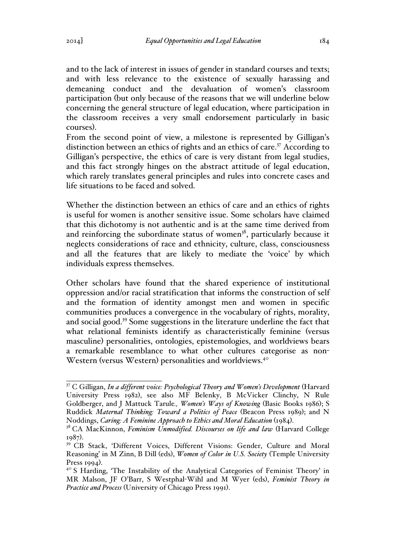and to the lack of interest in issues of gender in standard courses and texts; and with less relevance to the existence of sexually harassing and demeaning conduct and the devaluation of women's classroom participation (but only because of the reasons that we will underline below concerning the general structure of legal education, where participation in the classroom receives a very small endorsement particularly in basic courses).

From the second point of view, a milestone is represented by Gilligan's distinction between an ethics of rights and an ethics of care.<sup>37</sup> According to Gilligan's perspective, the ethics of care is very distant from legal studies, and this fact strongly hinges on the abstract attitude of legal education, which rarely translates general principles and rules into concrete cases and life situations to be faced and solved.

Whether the distinction between an ethics of care and an ethics of rights is useful for women is another sensitive issue. Some scholars have claimed that this dichotomy is not authentic and is at the same time derived from and reinforcing the subordinate status of women<sup>38</sup>, particularly because it neglects considerations of race and ethnicity, culture, class, consciousness and all the features that are likely to mediate the 'voice' by which individuals express themselves.

Other scholars have found that the shared experience of institutional oppression and/or racial stratification that informs the construction of self and the formation of identity amongst men and women in specific communities produces a convergence in the vocabulary of rights, morality, and social good.39 Some suggestions in the literature underline the fact that what relational feminists identify as characteristically feminine (versus masculine) personalities, ontologies, epistemologies, and worldviews bears a remarkable resemblance to what other cultures categorise as non-Western (versus Western) personalities and worldviews.<sup>40</sup>

<sup>37</sup> C Gilligan, *In a different voice: Psychological Theory and Women's Development* (Harvard University Press 1982), see also MF Belenky, B McVicker Clinchy, N Rule Goldberger, and J Mattuck Tarule*., Women's Ways of Knowing* (Basic Books 1986); S Ruddick *Maternal Thinking: Toward a Politics of Peace* (Beacon Press 1989); and N

<sup>&</sup>lt;sup>38</sup> CA MacKinnon, *Feminism Unmodified. Discourses on life and law* (Harvard College <sup>1987</sup>). <sup>39</sup> CB Stack, 'Different Voices, Different Visions: Gender, Culture and Moral

Reasoning' in M Zinn, B Dill (eds), *Women of Color in U.S. Society* (Temple University Press 1994).<br><sup>40</sup> S Harding, 'The Instability of the Analytical Categories of Feminist Theory' in

MR Malson, JF O'Barr, S Westphal-Wihl and M Wyer (eds), *Feminist Theory in Practice and Process* (University of Chicago Press 1991).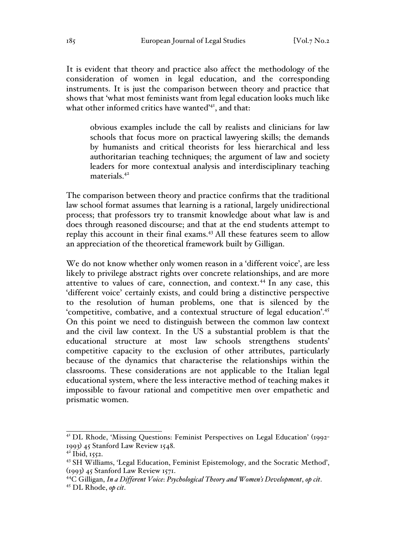It is evident that theory and practice also affect the methodology of the consideration of women in legal education, and the corresponding instruments. It is just the comparison between theory and practice that shows that 'what most feminists want from legal education looks much like what other informed critics have wanted<sup>'41</sup>, and that:

obvious examples include the call by realists and clinicians for law schools that focus more on practical lawyering skills; the demands by humanists and critical theorists for less hierarchical and less authoritarian teaching techniques; the argument of law and society leaders for more contextual analysis and interdisciplinary teaching materials.42

The comparison between theory and practice confirms that the traditional law school format assumes that learning is a rational, largely unidirectional process; that professors try to transmit knowledge about what law is and does through reasoned discourse; and that at the end students attempt to replay this account in their final exams.<sup>43</sup> All these features seem to allow an appreciation of the theoretical framework built by Gilligan.

We do not know whether only women reason in a 'different voice', are less likely to privilege abstract rights over concrete relationships, and are more attentive to values of care, connection, and context.<sup>44</sup> In any case, this 'different voice' certainly exists, and could bring a distinctive perspective to the resolution of human problems, one that is silenced by the 'competitive, combative, and a contextual structure of legal education'.45 On this point we need to distinguish between the common law context and the civil law context. In the US a substantial problem is that the educational structure at most law schools strengthens students' competitive capacity to the exclusion of other attributes, particularly because of the dynamics that characterise the relationships within the classrooms. These considerations are not applicable to the Italian legal educational system, where the less interactive method of teaching makes it impossible to favour rational and competitive men over empathetic and prismatic women.

<sup>41</sup> DL Rhode, 'Missing Questions: Feminist Perspectives on Legal Education' (1992- 1993) 45 Stanford Law Review 1548.

<sup>42</sup> Ibid, 1552.

<sup>43</sup> SH Williams, 'Legal Education, Feminist Epistemology, and the Socratic Method', (1993) 45 Stanford Law Review 1571.

<sup>44</sup>C Gilligan, *In a Different Voice*: *Psychological Theory and Women's Development*, *op cit*. <sup>45</sup> DL Rhode, *op cit*.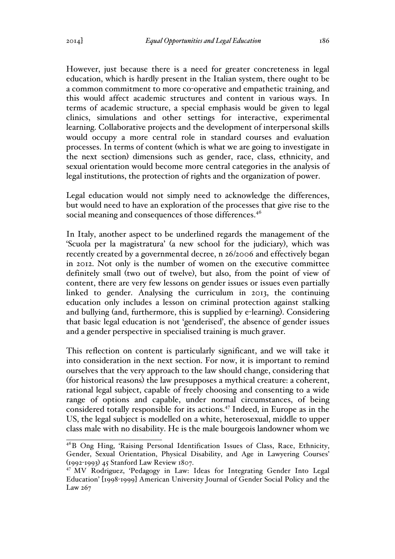However, just because there is a need for greater concreteness in legal education, which is hardly present in the Italian system, there ought to be a common commitment to more co-operative and empathetic training, and this would affect academic structures and content in various ways. In terms of academic structure, a special emphasis would be given to legal clinics, simulations and other settings for interactive, experimental learning. Collaborative projects and the development of interpersonal skills would occupy a more central role in standard courses and evaluation processes. In terms of content (which is what we are going to investigate in the next section) dimensions such as gender, race, class, ethnicity, and sexual orientation would become more central categories in the analysis of legal institutions, the protection of rights and the organization of power.

Legal education would not simply need to acknowledge the differences, but would need to have an exploration of the processes that give rise to the social meaning and consequences of those differences.<sup>46</sup>

In Italy, another aspect to be underlined regards the management of the 'Scuola per la magistratura' (a new school for the judiciary), which was recently created by a governmental decree, n 26/2006 and effectively began in 2012. Not only is the number of women on the executive committee definitely small (two out of twelve), but also, from the point of view of content, there are very few lessons on gender issues or issues even partially linked to gender. Analysing the curriculum in 2013, the continuing education only includes a lesson on criminal protection against stalking and bullying (and, furthermore, this is supplied by e-learning). Considering that basic legal education is not 'genderised', the absence of gender issues and a gender perspective in specialised training is much graver.

This reflection on content is particularly significant, and we will take it into consideration in the next section. For now, it is important to remind ourselves that the very approach to the law should change, considering that (for historical reasons) the law presupposes a mythical creature: a coherent, rational legal subject, capable of freely choosing and consenting to a wide range of options and capable, under normal circumstances, of being considered totally responsible for its actions.47 Indeed, in Europe as in the US, the legal subject is modelled on a white, heterosexual, middle to upper class male with no disability. He is the male bourgeois landowner whom we

<sup>&</sup>lt;sup>46</sup>B Ong Hing, 'Raising Personal Identification Issues of Class, Race, Ethnicity, Gender, Sexual Orientation, Physical Disability, and Age in Lawyering Courses' (1992-1993) 45 Stanford Law Review 1807.

<sup>47</sup> MV Rodriguez, 'Pedagogy in Law: Ideas for Integrating Gender Into Legal Education' [1998-1999] American University Journal of Gender Social Policy and the Law 267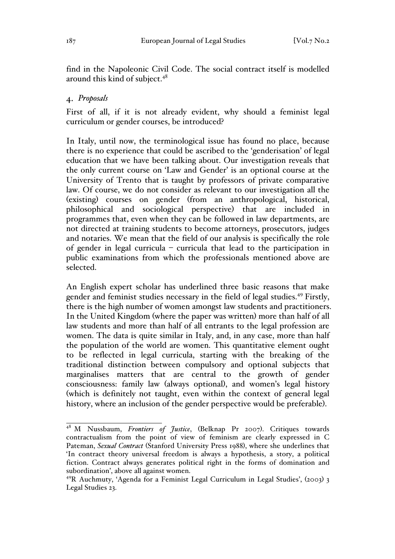find in the Napoleonic Civil Code. The social contract itself is modelled around this kind of subject. $48$ 

### *Proposals*

First of all, if it is not already evident, why should a feminist legal curriculum or gender courses, be introduced?

In Italy, until now, the terminological issue has found no place, because there is no experience that could be ascribed to the 'genderisation' of legal education that we have been talking about. Our investigation reveals that the only current course on 'Law and Gender' is an optional course at the University of Trento that is taught by professors of private comparative law. Of course, we do not consider as relevant to our investigation all the (existing) courses on gender (from an anthropological, historical, philosophical and sociological perspective) that are included in programmes that, even when they can be followed in law departments, are not directed at training students to become attorneys, prosecutors, judges and notaries. We mean that the field of our analysis is specifically the role of gender in legal curricula – curricula that lead to the participation in public examinations from which the professionals mentioned above are selected.

An English expert scholar has underlined three basic reasons that make gender and feminist studies necessary in the field of legal studies.<sup>49</sup> Firstly, there is the high number of women amongst law students and practitioners. In the United Kingdom (where the paper was written) more than half of all law students and more than half of all entrants to the legal profession are women. The data is quite similar in Italy, and, in any case, more than half the population of the world are women. This quantitative element ought to be reflected in legal curricula, starting with the breaking of the traditional distinction between compulsory and optional subjects that marginalises matters that are central to the growth of gender consciousness: family law (always optional), and women's legal history (which is definitely not taught, even within the context of general legal history, where an inclusion of the gender perspective would be preferable).

<sup>48</sup> M Nussbaum, *Frontiers of Justice*, (Belknap Pr 2007). Critiques towards contractualism from the point of view of feminism are clearly expressed in C Pateman, *Sexual Contract* (Stanford University Press 1988), where she underlines that 'In contract theory universal freedom is always a hypothesis, a story, a political fiction. Contract always generates political right in the forms of domination and subordination', above all against women.

<sup>49</sup>R Auchmuty, 'Agenda for a Feminist Legal Curriculum in Legal Studies', (2003) 3 Legal Studies 23.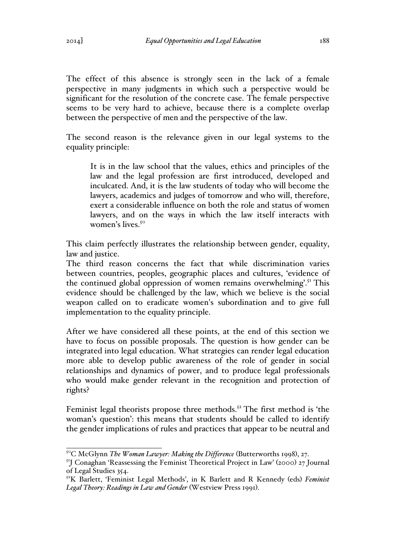The effect of this absence is strongly seen in the lack of a female perspective in many judgments in which such a perspective would be significant for the resolution of the concrete case. The female perspective seems to be very hard to achieve, because there is a complete overlap between the perspective of men and the perspective of the law.

The second reason is the relevance given in our legal systems to the equality principle:

It is in the law school that the values, ethics and principles of the law and the legal profession are first introduced, developed and inculcated. And, it is the law students of today who will become the lawyers, academics and judges of tomorrow and who will, therefore, exert a considerable influence on both the role and status of women lawyers, and on the ways in which the law itself interacts with women's lives.<sup>50</sup>

This claim perfectly illustrates the relationship between gender, equality, law and justice.

The third reason concerns the fact that while discrimination varies between countries, peoples, geographic places and cultures, 'evidence of the continued global oppression of women remains overwhelming'.<sup>51</sup> This evidence should be challenged by the law, which we believe is the social weapon called on to eradicate women's subordination and to give full implementation to the equality principle.

After we have considered all these points, at the end of this section we have to focus on possible proposals. The question is how gender can be integrated into legal education. What strategies can render legal education more able to develop public awareness of the role of gender in social relationships and dynamics of power, and to produce legal professionals who would make gender relevant in the recognition and protection of rights?

Feminist legal theorists propose three methods.<sup>52</sup> The first method is 'the woman's question': this means that students should be called to identify the gender implications of rules and practices that appear to be neutral and

<sup>&</sup>lt;sup>50</sup>C McGlynn *The Woman Lawyer: Making the Difference* (Butterworths 1998), 27.

 $5<sup>1</sup>J$  Conaghan 'Reassessing the Feminist Theoretical Project in Law' (2000) 27 Journal of Legal Studies 354.

<sup>52</sup>K Barlett, 'Feminist Legal Methods', in K Barlett and R Kennedy (eds) *Feminist Legal Theory: Readings in Law and Gender* (Westview Press 1991).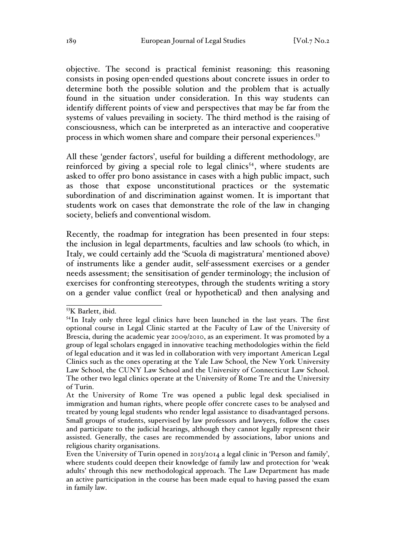objective. The second is practical feminist reasoning: this reasoning consists in posing open-ended questions about concrete issues in order to determine both the possible solution and the problem that is actually found in the situation under consideration. In this way students can identify different points of view and perspectives that may be far from the systems of values prevailing in society. The third method is the raising of consciousness, which can be interpreted as an interactive and cooperative process in which women share and compare their personal experiences.53

All these 'gender factors', useful for building a different methodology, are reinforced by giving a special role to legal clinics<sup>54</sup>, where students are asked to offer pro bono assistance in cases with a high public impact, such as those that expose unconstitutional practices or the systematic subordination of and discrimination against women. It is important that students work on cases that demonstrate the role of the law in changing society, beliefs and conventional wisdom.

Recently, the roadmap for integration has been presented in four steps: the inclusion in legal departments, faculties and law schools (to which, in Italy, we could certainly add the 'Scuola di magistratura' mentioned above) of instruments like a gender audit, self-assessment exercises or a gender needs assessment; the sensitisation of gender terminology; the inclusion of exercises for confronting stereotypes, through the students writing a story on a gender value conflict (real or hypothetical) and then analysing and

53K Barlett, ibid.

<sup>54</sup>In Italy only three legal clinics have been launched in the last years. The first optional course in Legal Clinic started at the Faculty of Law of the University of Brescia, during the academic year 2009/2010, as an experiment. It was promoted by a group of legal scholars engaged in innovative teaching methodologies within the field of legal education and it was led in collaboration with very important American Legal Clinics such as the ones operating at the Yale Law School, the New York University Law School, the CUNY Law School and the University of Connecticut Law School. The other two legal clinics operate at the University of Rome Tre and the University of Turin.

At the University of Rome Tre was opened a public legal desk specialised in immigration and human rights, where people offer concrete cases to be analysed and treated by young legal students who render legal assistance to disadvantaged persons. Small groups of students, supervised by law professors and lawyers, follow the cases and participate to the judicial hearings, although they cannot legally represent their assisted. Generally, the cases are recommended by associations, labor unions and religious charity organisations.

Even the University of Turin opened in 2013/2014 a legal clinic in 'Person and family', where students could deepen their knowledge of family law and protection for 'weak adults' through this new methodological approach. The Law Department has made an active participation in the course has been made equal to having passed the exam in family law.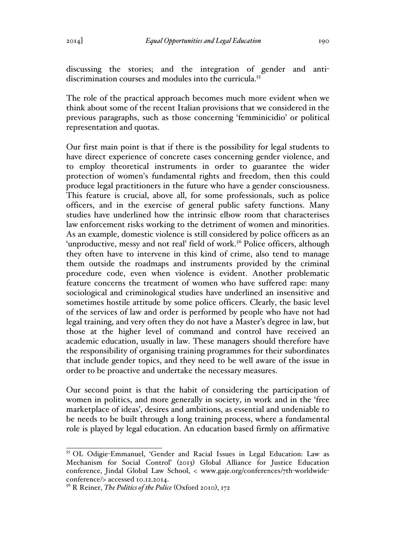discussing the stories; and the integration of gender and antidiscrimination courses and modules into the curricula.<sup>55</sup>

The role of the practical approach becomes much more evident when we think about some of the recent Italian provisions that we considered in the previous paragraphs, such as those concerning 'femminicidio' or political representation and quotas.

Our first main point is that if there is the possibility for legal students to have direct experience of concrete cases concerning gender violence, and to employ theoretical instruments in order to guarantee the wider protection of women's fundamental rights and freedom, then this could produce legal practitioners in the future who have a gender consciousness. This feature is crucial, above all, for some professionals, such as police officers, and in the exercise of general public safety functions. Many studies have underlined how the intrinsic elbow room that characterises law enforcement risks working to the detriment of women and minorities. As an example, domestic violence is still considered by police officers as an 'unproductive, messy and not real' field of work.<sup>56</sup> Police officers, although they often have to intervene in this kind of crime, also tend to manage them outside the roadmaps and instruments provided by the criminal procedure code, even when violence is evident. Another problematic feature concerns the treatment of women who have suffered rape: many sociological and criminological studies have underlined an insensitive and sometimes hostile attitude by some police officers. Clearly, the basic level of the services of law and order is performed by people who have not had legal training, and very often they do not have a Master's degree in law, but those at the higher level of command and control have received an academic education, usually in law. These managers should therefore have the responsibility of organising training programmes for their subordinates that include gender topics, and they need to be well aware of the issue in order to be proactive and undertake the necessary measures.

Our second point is that the habit of considering the participation of women in politics, and more generally in society, in work and in the 'free marketplace of ideas', desires and ambitions, as essential and undeniable to be needs to be built through a long training process, where a fundamental role is played by legal education. An education based firmly on affirmative

<sup>55</sup> OL Odigie-Emmanuel, 'Gender and Racial Issues in Legal Education: Law as Mechanism for Social Control' (2013) Global Alliance for Justice Education conference, Jindal Global Law School, < www.gaje.org/conferences/7th-worldwideconference/> accessed 10.12.2014.

<sup>56</sup> R Reiner, *The Politics of the Police* (Oxford 2010), 172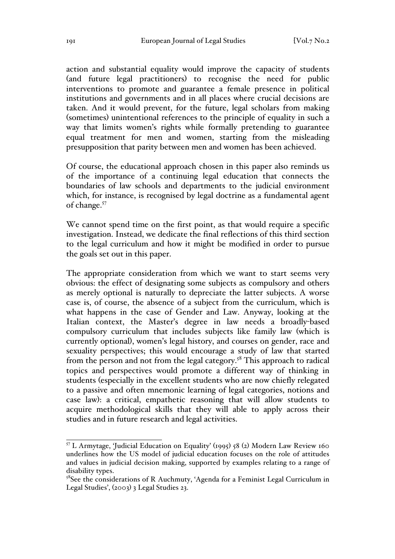action and substantial equality would improve the capacity of students (and future legal practitioners) to recognise the need for public interventions to promote and guarantee a female presence in political institutions and governments and in all places where crucial decisions are taken. And it would prevent, for the future, legal scholars from making (sometimes) unintentional references to the principle of equality in such a way that limits women's rights while formally pretending to guarantee equal treatment for men and women, starting from the misleading presupposition that parity between men and women has been achieved.

Of course, the educational approach chosen in this paper also reminds us of the importance of a continuing legal education that connects the boundaries of law schools and departments to the judicial environment which, for instance, is recognised by legal doctrine as a fundamental agent of change.<sup>57</sup>

We cannot spend time on the first point, as that would require a specific investigation. Instead, we dedicate the final reflections of this third section to the legal curriculum and how it might be modified in order to pursue the goals set out in this paper.

The appropriate consideration from which we want to start seems very obvious: the effect of designating some subjects as compulsory and others as merely optional is naturally to depreciate the latter subjects. A worse case is, of course, the absence of a subject from the curriculum, which is what happens in the case of Gender and Law. Anyway, looking at the Italian context, the Master's degree in law needs a broadly-based compulsory curriculum that includes subjects like family law (which is currently optional), women's legal history, and courses on gender, race and sexuality perspectives; this would encourage a study of law that started from the person and not from the legal category.<sup>58</sup> This approach to radical topics and perspectives would promote a different way of thinking in students (especially in the excellent students who are now chiefly relegated to a passive and often mnemonic learning of legal categories, notions and case law): a critical, empathetic reasoning that will allow students to acquire methodological skills that they will able to apply across their studies and in future research and legal activities.

<sup>57</sup> L Armytage, 'Judicial Education on Equality' (1995) 58 (2) Modern Law Review 160 underlines how the US model of judicial education focuses on the role of attitudes and values in judicial decision making, supported by examples relating to a range of disability types.<br><sup>58</sup>See the considerations of R Auchmuty, 'Agenda for a Feminist Legal Curriculum in

Legal Studies', (2003) 3 Legal Studies 23.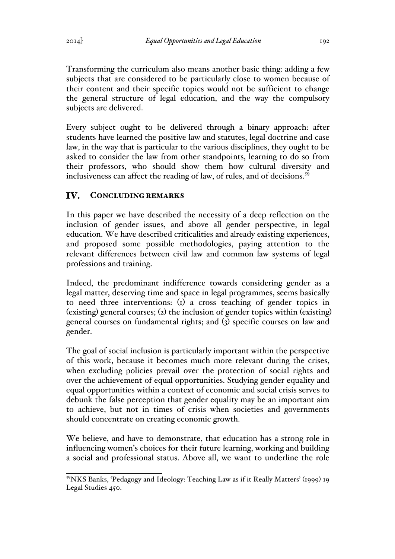Transforming the curriculum also means another basic thing: adding a few subjects that are considered to be particularly close to women because of their content and their specific topics would not be sufficient to change the general structure of legal education, and the way the compulsory subjects are delivered.

Every subject ought to be delivered through a binary approach: after students have learned the positive law and statutes, legal doctrine and case law, in the way that is particular to the various disciplines, they ought to be asked to consider the law from other standpoints, learning to do so from their professors, who should show them how cultural diversity and inclusiveness can affect the reading of law, of rules, and of decisions.<sup>59</sup>

#### IV. CONCLUDING REMARKS

In this paper we have described the necessity of a deep reflection on the inclusion of gender issues, and above all gender perspective, in legal education. We have described criticalities and already existing experiences, and proposed some possible methodologies, paying attention to the relevant differences between civil law and common law systems of legal professions and training.

Indeed, the predominant indifference towards considering gender as a legal matter, deserving time and space in legal programmes, seems basically to need three interventions: (1) a cross teaching of gender topics in (existing) general courses; (2) the inclusion of gender topics within (existing) general courses on fundamental rights; and (3) specific courses on law and gender.

The goal of social inclusion is particularly important within the perspective of this work, because it becomes much more relevant during the crises, when excluding policies prevail over the protection of social rights and over the achievement of equal opportunities. Studying gender equality and equal opportunities within a context of economic and social crisis serves to debunk the false perception that gender equality may be an important aim to achieve, but not in times of crisis when societies and governments should concentrate on creating economic growth.

We believe, and have to demonstrate, that education has a strong role in influencing women's choices for their future learning, working and building a social and professional status. Above all, we want to underline the role

<sup>&</sup>lt;sup>59</sup>NKS Banks, 'Pedagogy and Ideology: Teaching Law as if it Really Matters' (1999) 19 Legal Studies 450.